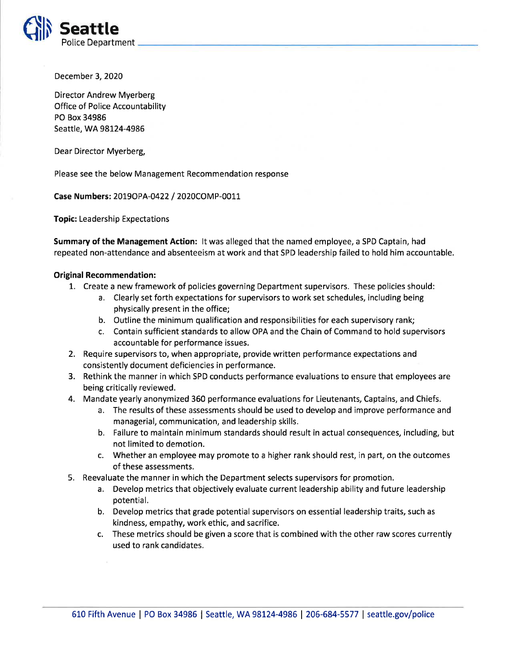

December 3, 2020

Director Andrew Myerberg Office of Police Accountability PO Box 34986 Seattle, WA 98124-4986

Dear Director Myerberg,

Please see the below Management Recommendation response

Case Numbers: 2019OPA-0422 / 2020COMP-0011

Topic: Leadership Expectations

Summary of the Management Action: lt was alleged that the named employee, a SPD Captain, had repeated non-attendance and absenteeism at work and that SPD leadership failed to hold him accountable.

## Original Recommendation:

- 7. Create a new framework of policies governing Department supervisors. These policies should:
	- a. Clearly set forth expectations for supervisors to work set schedules, including being physically present in the office;
	- b. Outline the minimum qualification and responsibilities for each supervisory rank;
	- c. Contain sufficient standards to allow OPA and the Chain of Command to hold supervisors accountable for performance issues.
- 2. Require supervisors to, when appropriate, provide written performance expectations and consistently document deficiencies in performance.
- 3. Rethink the manner in which SPD conducts performance evaluations to ensure that employees are being critically reviewed.
- 4. Mandate yearly anonymized 350 performance evaluations for Lieutenants, Captains, and Chiefs.
	- a. The results of these assessments should be used to develop and improve performance and managerial, communication, and leadership skills.
	- b. Failure to maintain minimum standards should result in actual consequences, including, but not limited to demotion.
	- c. Whether an employee may promote to a higher rank should rest, in part, on the outcomes of these assessments.
- 5. Reevaluate the manner in which the Department selects supervisors for promotion.
	- a. Develop metrics that objectively evaluate current leadership ability and future leadership potential.
	- b. Develop metrics that grade potential supervisors on essential leadership traits, such as kindness, empathy, work ethic, and sacrifice.
	- c. These metrics should be given a score that is combined with the other raw scores currently used to rank candidates.